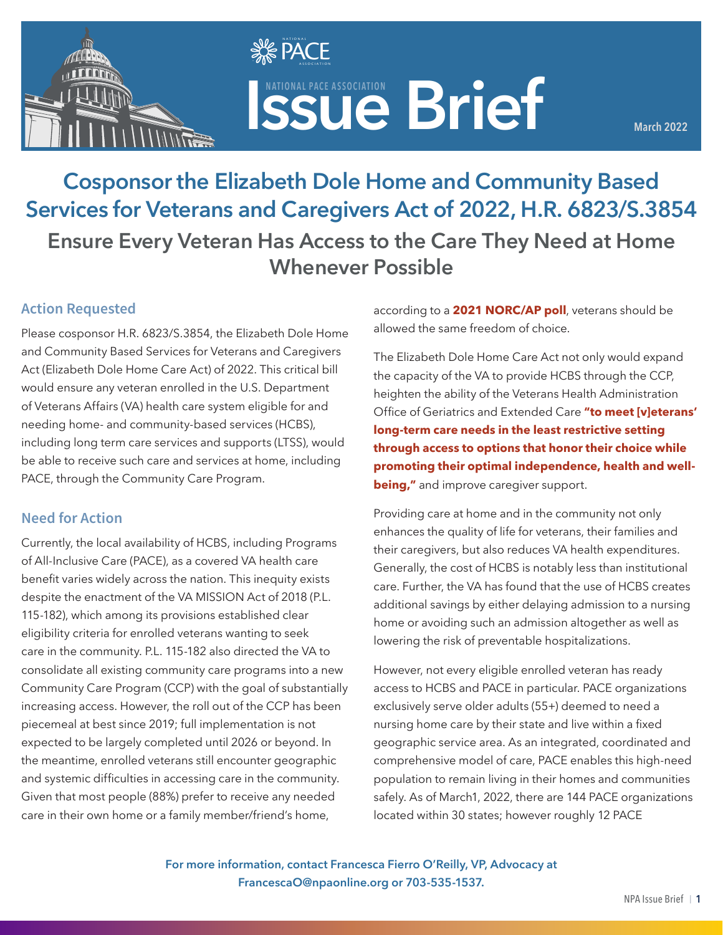

**ISSUE Brief ASSOCIATION** 

**March 2022**

# **Cosponsor the Elizabeth Dole Home and Community Based Services for Veterans and Caregivers Act of 2022, H.R. 6823/S.3854 Ensure Every Veteran Has Access to the Care They Need at Home Whenever Possible**

**SE PACE**  $\mathbf{v}$   $\mathbf{v}$   $\mathbf{v}$  association

#### **Action Requested**

Please cosponsor H.R. 6823/S.3854, the Elizabeth Dole Home and Community Based Services for Veterans and Caregivers Act (Elizabeth Dole Home Care Act) of 2022. This critical bill would ensure any veteran enrolled in the U.S. Department of Veterans Affairs (VA) health care system eligible for and needing home- and community-based services (HCBS), including long term care services and supports (LTSS), would be able to receive such care and services at home, including PACE, through the Community Care Program.

#### **Need for Action**

Currently, the local availability of HCBS, including Programs of All-Inclusive Care (PACE), as a covered VA health care benefit varies widely across the nation. This inequity exists despite the enactment of the VA MISSION Act of 2018 (P.L. 115-182), which among its provisions established clear eligibility criteria for enrolled veterans wanting to seek care in the community. P.L. 115-182 also directed the VA to consolidate all existing community care programs into a new Community Care Program (CCP) with the goal of substantially increasing access. However, the roll out of the CCP has been piecemeal at best since 2019; full implementation is not expected to be largely completed until 2026 or beyond. In the meantime, enrolled veterans still encounter geographic and systemic difficulties in accessing care in the community. Given that most people (88%) prefer to receive any needed care in their own home or a family member/friend's home,

according to a **[2021 NORC/AP poll](https://apnorc.org/wp-content/uploads/2021/04/LTC_Report_AgingatHome_final.pdf)**, veterans should be allowed the same freedom of choice.

The Elizabeth Dole Home Care Act not only would expand the capacity of the VA to provide HCBS through the CCP, heighten the ability of the Veterans Health Administration Office of Geriatrics and Extended Care **["to meet \[v\]eterans'](https://www.google.com/url?sa=t&rct=j&q=&esrc=s&source=web&cd=&ved=2ahUKEwjmrtCEybf2AhVMnOAKHZEYBgcQFnoECAgQAQ&url=https%3A%2F%2Fwww.congress.gov%2F116%2Fmeeting%2Fhouse%2F110596%2Fwitnesses%2FHHRG-116-VR03-Wstate-BoydT-20200303.pdf&usg=AOvVaw0pkFEW6AzDpO4himWfKy1p)  [long-term care needs in the least restrictive setting](https://www.google.com/url?sa=t&rct=j&q=&esrc=s&source=web&cd=&ved=2ahUKEwjmrtCEybf2AhVMnOAKHZEYBgcQFnoECAgQAQ&url=https%3A%2F%2Fwww.congress.gov%2F116%2Fmeeting%2Fhouse%2F110596%2Fwitnesses%2FHHRG-116-VR03-Wstate-BoydT-20200303.pdf&usg=AOvVaw0pkFEW6AzDpO4himWfKy1p)  [through access to options that honor their choice while](https://www.google.com/url?sa=t&rct=j&q=&esrc=s&source=web&cd=&ved=2ahUKEwjmrtCEybf2AhVMnOAKHZEYBgcQFnoECAgQAQ&url=https%3A%2F%2Fwww.congress.gov%2F116%2Fmeeting%2Fhouse%2F110596%2Fwitnesses%2FHHRG-116-VR03-Wstate-BoydT-20200303.pdf&usg=AOvVaw0pkFEW6AzDpO4himWfKy1p)  [promoting their optimal independence, health and well](https://www.google.com/url?sa=t&rct=j&q=&esrc=s&source=web&cd=&ved=2ahUKEwjmrtCEybf2AhVMnOAKHZEYBgcQFnoECAgQAQ&url=https%3A%2F%2Fwww.congress.gov%2F116%2Fmeeting%2Fhouse%2F110596%2Fwitnesses%2FHHRG-116-VR03-Wstate-BoydT-20200303.pdf&usg=AOvVaw0pkFEW6AzDpO4himWfKy1p)[being,"](https://www.google.com/url?sa=t&rct=j&q=&esrc=s&source=web&cd=&ved=2ahUKEwjmrtCEybf2AhVMnOAKHZEYBgcQFnoECAgQAQ&url=https%3A%2F%2Fwww.congress.gov%2F116%2Fmeeting%2Fhouse%2F110596%2Fwitnesses%2FHHRG-116-VR03-Wstate-BoydT-20200303.pdf&usg=AOvVaw0pkFEW6AzDpO4himWfKy1p)** and improve caregiver support.

Providing care at home and in the community not only enhances the quality of life for veterans, their families and their caregivers, but also reduces VA health expenditures. Generally, the cost of HCBS is notably less than institutional care. Further, the VA has found that the use of HCBS creates additional savings by either delaying admission to a nursing home or avoiding such an admission altogether as well as lowering the risk of preventable hospitalizations.

However, not every eligible enrolled veteran has ready access to HCBS and PACE in particular. PACE organizations exclusively serve older adults (55+) deemed to need a nursing home care by their state and live within a fixed geographic service area. As an integrated, coordinated and comprehensive model of care, PACE enables this high-need population to remain living in their homes and communities safely. As of March1, 2022, there are 144 PACE organizations located within 30 states; however roughly 12 PACE

**For more information, contact Francesca Fierro O'Reilly, VP, Advocacy at FrancescaO@npaonline.org or 703-535-1537.**